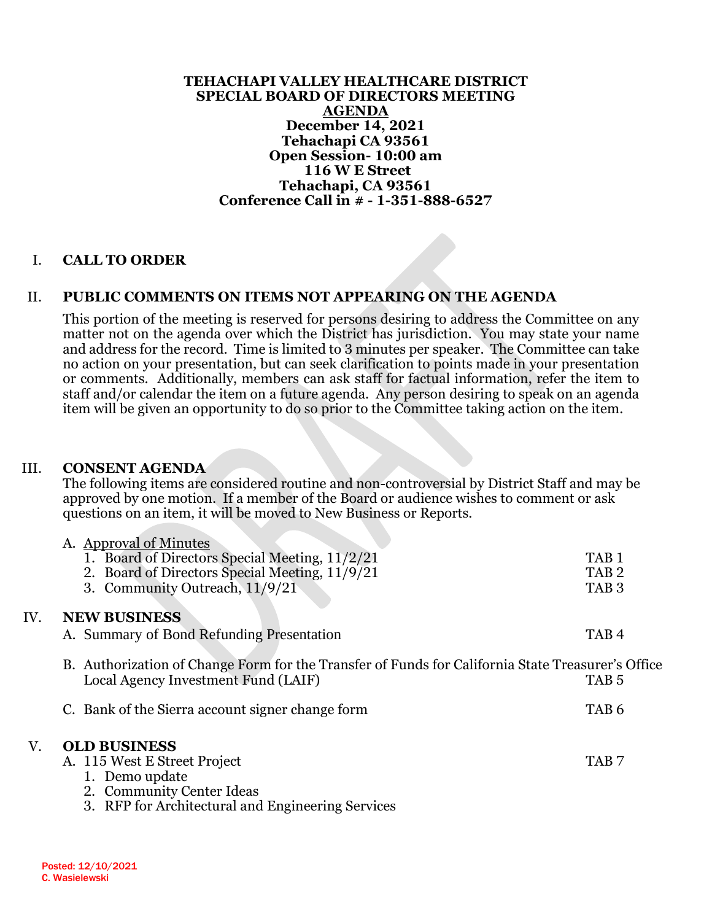**TEHACHAPI VALLEY HEALTHCARE DISTRICT SPECIAL BOARD OF DIRECTORS MEETING AGENDA December 14, 2021 Tehachapi CA 93561 Open Session- 10:00 am 116 W E Street Tehachapi, CA 93561 Conference Call in # - 1-351-888-6527**

### I. **CALL TO ORDER**

### II. **PUBLIC COMMENTS ON ITEMS NOT APPEARING ON THE AGENDA**

This portion of the meeting is reserved for persons desiring to address the Committee on any matter not on the agenda over which the District has jurisdiction. You may state your name and address for the record. Time is limited to 3 minutes per speaker. The Committee can take no action on your presentation, but can seek clarification to points made in your presentation or comments. Additionally, members can ask staff for factual information, refer the item to staff and/or calendar the item on a future agenda. Any person desiring to speak on an agenda item will be given an opportunity to do so prior to the Committee taking action on the item.

#### III. **CONSENT AGENDA**

The following items are considered routine and non-controversial by District Staff and may be approved by one motion. If a member of the Board or audience wishes to comment or ask questions on an item, it will be moved to New Business or Reports.

|     | A. Approval of Minutes                                                                                                                   |                  |
|-----|------------------------------------------------------------------------------------------------------------------------------------------|------------------|
|     | 1. Board of Directors Special Meeting, 11/2/21                                                                                           | TAB 1            |
|     | 2. Board of Directors Special Meeting, 11/9/21                                                                                           | TAB <sub>2</sub> |
|     | 3. Community Outreach, 11/9/21                                                                                                           | TAB <sub>3</sub> |
| IV. | <b>NEW BUSINESS</b>                                                                                                                      |                  |
|     | A. Summary of Bond Refunding Presentation                                                                                                | TAB <sub>4</sub> |
|     | B. Authorization of Change Form for the Transfer of Funds for California State Treasurer's Office<br>Local Agency Investment Fund (LAIF) | TAB <sub>5</sub> |
|     | C. Bank of the Sierra account signer change form                                                                                         | TAB <sub>6</sub> |
| V.  | <b>OLD BUSINESS</b>                                                                                                                      |                  |
|     | A. 115 West E Street Project                                                                                                             | TAB <sub>7</sub> |
|     | 1. Demo update                                                                                                                           |                  |
|     | 2. Community Center Ideas                                                                                                                |                  |
|     | 3. RFP for Architectural and Engineering Services                                                                                        |                  |